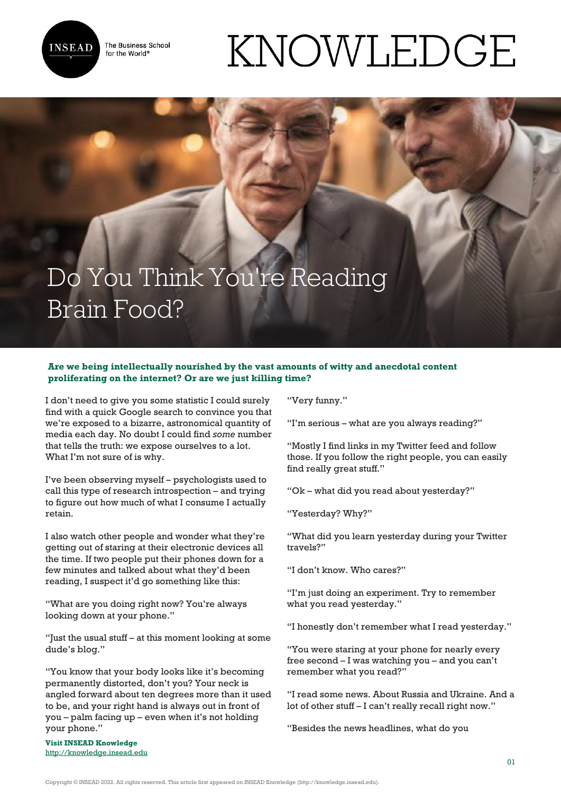

The Business School for the World<sup>®</sup>

## KNOWLEDGE

## Do You Think You're Reading Brain Food?

## **Are we being intellectually nourished by the vast amounts of witty and anecdotal content proliferating on the internet? Or are we just killing time?**

I don't need to give you some statistic I could surely find with a quick Google search to convince you that we're exposed to a bizarre, astronomical quantity of media each day. No doubt I could find *some* number that tells the truth: we expose ourselves to a lot. What I'm not sure of is why.

I've been observing myself – psychologists used to call this type of research introspection – and trying to figure out how much of what I consume I actually retain.

I also watch other people and wonder what they're getting out of staring at their electronic devices all the time. If two people put their phones down for a few minutes and talked about what they'd been reading, I suspect it'd go something like this:

"What are you doing right now? You're always looking down at your phone."

"Just the usual stuff – at this moment looking at some dude's blog."

"You know that your body looks like it's becoming permanently distorted, don't you? Your neck is angled forward about ten degrees more than it used to be, and your right hand is always out in front of you – palm facing up – even when it's not holding your phone."

**Visit INSEAD Knowledge** <http://knowledge.insead.edu> "Very funny."

"I'm serious – what are you always reading?"

"Mostly I find links in my Twitter feed and follow those. If you follow the right people, you can easily find really great stuff."

"Ok – what did you read about yesterday?"

"Yesterday? Why?"

"What did you learn yesterday during your Twitter travels?"

"I don't know. Who cares?"

"I'm just doing an experiment. Try to remember what you read yesterday."

"I honestly don't remember what I read yesterday."

"You were staring at your phone for nearly every free second – I was watching you – and you can't remember what you read?"

"I read some news. About Russia and Ukraine. And a lot of other stuff – I can't really recall right now."

"Besides the news headlines, what do you

Copyright © INSEAD 2022. All rights reserved. This article first appeared on INSEAD Knowledge (http://knowledge.insead.edu).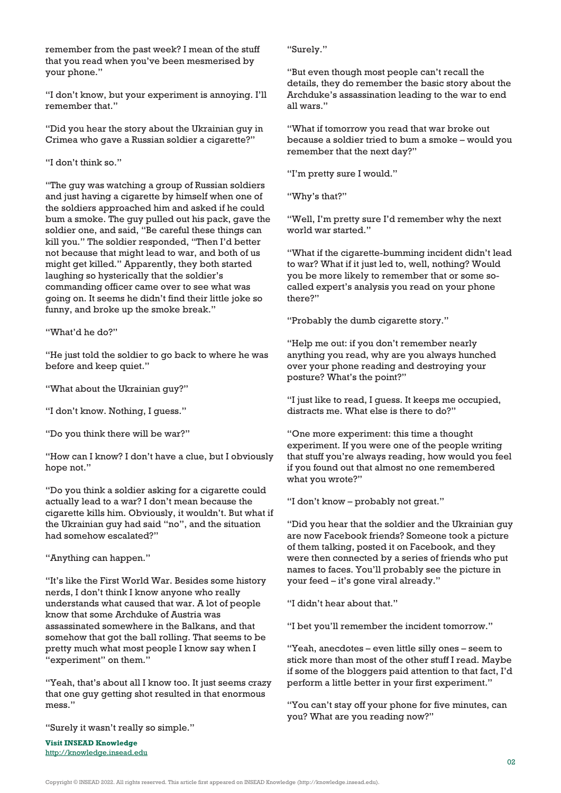remember from the past week? I mean of the stuff that you read when you've been mesmerised by your phone."

"I don't know, but your experiment is annoying. I'll remember that."

"Did you hear the story about the Ukrainian guy in Crimea who gave a Russian soldier a cigarette?"

"I don't think so."

"The guy was watching a group of Russian soldiers and just having a cigarette by himself when one of the soldiers approached him and asked if he could bum a smoke. The guy pulled out his pack, gave the soldier one, and said, "Be careful these things can kill you." The soldier responded, "Then I'd better not because that might lead to war, and both of us might get killed." Apparently, they both started laughing so hysterically that the soldier's commanding officer came over to see what was going on. It seems he didn't find their little joke so funny, and broke up the smoke break."

"What'd he do?"

"He just told the soldier to go back to where he was before and keep quiet."

"What about the Ukrainian guy?"

"I don't know. Nothing, I guess."

"Do you think there will be war?"

"How can I know? I don't have a clue, but I obviously hope not."

"Do you think a soldier asking for a cigarette could actually lead to a war? I don't mean because the cigarette kills him. Obviously, it wouldn't. But what if the Ukrainian guy had said "no", and the situation had somehow escalated?"

"Anything can happen."

"It's like the First World War. Besides some history nerds, I don't think I know anyone who really understands what caused that war. A lot of people know that some Archduke of Austria was assassinated somewhere in the Balkans, and that somehow that got the ball rolling. That seems to be pretty much what most people I know say when I "experiment" on them."

"Yeah, that's about all I know too. It just seems crazy that one guy getting shot resulted in that enormous mess."

"Surely it wasn't really so simple."

**Visit INSEAD Knowledge** <http://knowledge.insead.edu> "Surely."

"But even though most people can't recall the details, they do remember the basic story about the Archduke's assassination leading to the war to end all wars."

"What if tomorrow you read that war broke out because a soldier tried to bum a smoke – would you remember that the next day?"

"I'm pretty sure I would."

"Why's that?"

"Well, I'm pretty sure I'd remember why the next world war started."

"What if the cigarette-bumming incident didn't lead to war? What if it just led to, well, nothing? Would you be more likely to remember that or some socalled expert's analysis you read on your phone there?"

"Probably the dumb cigarette story."

"Help me out: if you don't remember nearly anything you read, why are you always hunched over your phone reading and destroying your posture? What's the point?"

"I just like to read, I guess. It keeps me occupied, distracts me. What else is there to do?"

"One more experiment: this time a thought experiment. If you were one of the people writing that stuff you're always reading, how would you feel if you found out that almost no one remembered what you wrote?"

"I don't know – probably not great."

"Did you hear that the soldier and the Ukrainian guy are now Facebook friends? Someone took a picture of them talking, posted it on Facebook, and they were then connected by a series of friends who put names to faces. You'll probably see the picture in your feed – it's gone viral already."

"I didn't hear about that."

"I bet you'll remember the incident tomorrow."

"Yeah, anecdotes – even little silly ones – seem to stick more than most of the other stuff I read. Maybe if some of the bloggers paid attention to that fact, I'd perform a little better in your first experiment."

"You can't stay off your phone for five minutes, can you? What are you reading now?"

Copyright © INSEAD 2022. All rights reserved. This article first appeared on INSEAD Knowledge (http://knowledge.insead.edu).